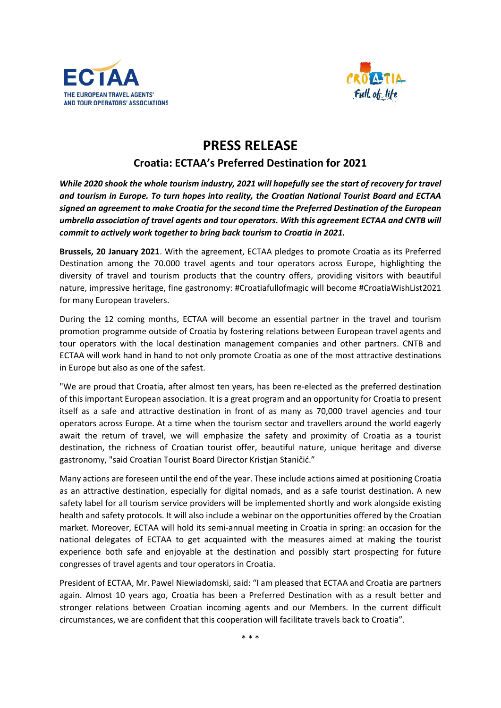



## **PRESS RELEASE**

## **Croatia: ECTAA's Preferred Destination for 2021**

*While 2020 shook the whole tourism industry, 2021 will hopefully see the start of recovery for travel and tourism in Europe. To turn hopes into reality, the Croatian National Tourist Board and ECTAA signed an agreement to make Croatia for the second time the Preferred Destination of the European umbrella association of travel agents and tour operators. With this agreement ECTAA and CNTB will commit to actively work together to bring back tourism to Croatia in 2021.*

**Brussels, 20 January 2021**. With the agreement, ECTAA pledges to promote Croatia as its Preferred Destination among the 70.000 travel agents and tour operators across Europe, highlighting the diversity of travel and tourism products that the country offers, providing visitors with beautiful nature, impressive heritage, fine gastronomy: #Croatiafullofmagic will become #CroatiaWishList2021 for many European travelers.

During the 12 coming months, ECTAA will become an essential partner in the travel and tourism promotion programme outside of Croatia by fostering relations between European travel agents and tour operators with the local destination management companies and other partners. CNTB and ECTAA will work hand in hand to not only promote Croatia as one of the most attractive destinations in Europe but also as one of the safest.

"We are proud that Croatia, after almost ten years, has been re-elected as the preferred destination of this important European association. It is a great program and an opportunity for Croatia to present itself as a safe and attractive destination in front of as many as 70,000 travel agencies and tour operators across Europe. At a time when the tourism sector and travellers around the world eagerly await the return of travel, we will emphasize the safety and proximity of Croatia as a tourist destination, the richness of Croatian tourist offer, beautiful nature, unique heritage and diverse gastronomy, "said Croatian Tourist Board Director Kristjan Staničić."

Many actions are foreseen until the end of the year. These include actions aimed at positioning Croatia as an attractive destination, especially for digital nomads, and as a safe tourist destination. A new safety label for all tourism service providers will be implemented shortly and work alongside existing health and safety protocols. It will also include a webinar on the opportunities offered by the Croatian market. Moreover, ECTAA will hold its semi-annual meeting in Croatia in spring: an occasion for the national delegates of ECTAA to get acquainted with the measures aimed at making the tourist experience both safe and enjoyable at the destination and possibly start prospecting for future congresses of travel agents and tour operators in Croatia.

President of ECTAA, Mr. Pawel Niewiadomski, said: "I am pleased that ECTAA and Croatia are partners again. Almost 10 years ago, Croatia has been a Preferred Destination with as a result better and stronger relations between Croatian incoming agents and our Members. In the current difficult circumstances, we are confident that this cooperation will facilitate travels back to Croatia".